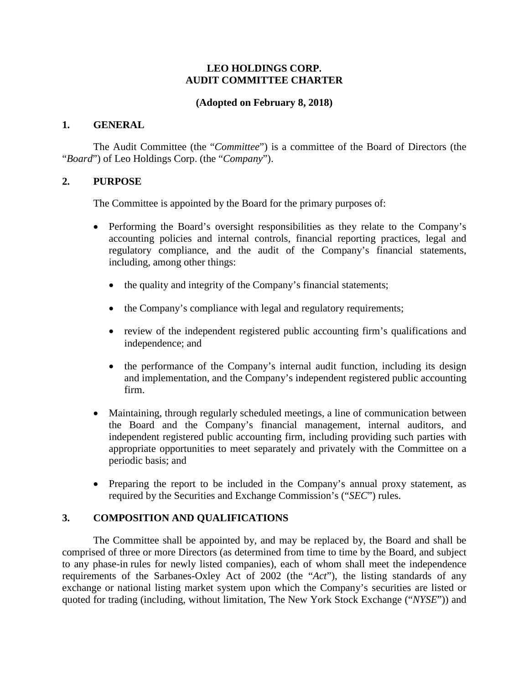## **LEO HOLDINGS CORP. AUDIT COMMITTEE CHARTER**

## **(Adopted on February 8, 2018)**

#### **1. GENERAL**

The Audit Committee (the "*Committee*") is a committee of the Board of Directors (the "*Board*") of Leo Holdings Corp. (the "*Company*").

## **2. PURPOSE**

The Committee is appointed by the Board for the primary purposes of:

- Performing the Board's oversight responsibilities as they relate to the Company's accounting policies and internal controls, financial reporting practices, legal and regulatory compliance, and the audit of the Company's financial statements, including, among other things:
	- the quality and integrity of the Company's financial statements;
	- the Company's compliance with legal and regulatory requirements;
	- review of the independent registered public accounting firm's qualifications and independence; and
	- the performance of the Company's internal audit function, including its design and implementation, and the Company's independent registered public accounting firm.
- Maintaining, through regularly scheduled meetings, a line of communication between the Board and the Company's financial management, internal auditors, and independent registered public accounting firm, including providing such parties with appropriate opportunities to meet separately and privately with the Committee on a periodic basis; and
- Preparing the report to be included in the Company's annual proxy statement, as required by the Securities and Exchange Commission's ("*SEC*") rules.

## **3. COMPOSITION AND QUALIFICATIONS**

The Committee shall be appointed by, and may be replaced by, the Board and shall be comprised of three or more Directors (as determined from time to time by the Board, and subject to any phase-in rules for newly listed companies), each of whom shall meet the independence requirements of the Sarbanes-Oxley Act of 2002 (the "*Act*"), the listing standards of any exchange or national listing market system upon which the Company's securities are listed or quoted for trading (including, without limitation, The New York Stock Exchange ("*NYSE*")) and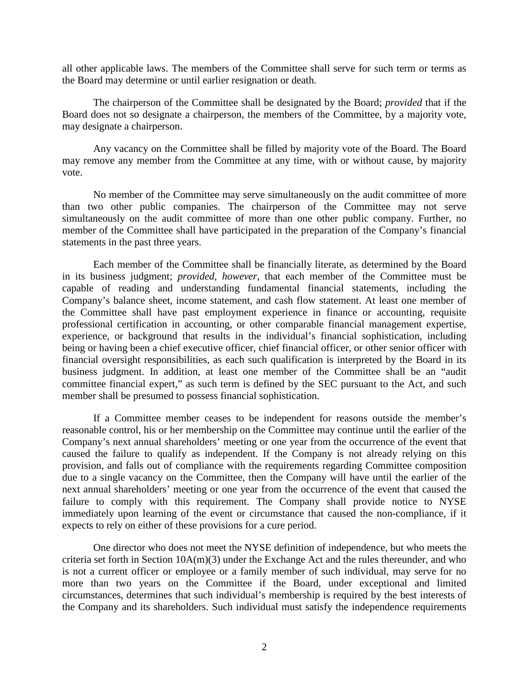all other applicable laws. The members of the Committee shall serve for such term or terms as the Board may determine or until earlier resignation or death.

The chairperson of the Committee shall be designated by the Board; *provided* that if the Board does not so designate a chairperson, the members of the Committee, by a majority vote, may designate a chairperson.

Any vacancy on the Committee shall be filled by majority vote of the Board. The Board may remove any member from the Committee at any time, with or without cause, by majority vote.

No member of the Committee may serve simultaneously on the audit committee of more than two other public companies. The chairperson of the Committee may not serve simultaneously on the audit committee of more than one other public company. Further, no member of the Committee shall have participated in the preparation of the Company's financial statements in the past three years.

Each member of the Committee shall be financially literate, as determined by the Board in its business judgment; *provided*, *however*, that each member of the Committee must be capable of reading and understanding fundamental financial statements, including the Company's balance sheet, income statement, and cash flow statement. At least one member of the Committee shall have past employment experience in finance or accounting, requisite professional certification in accounting, or other comparable financial management expertise, experience, or background that results in the individual's financial sophistication, including being or having been a chief executive officer, chief financial officer, or other senior officer with financial oversight responsibilities, as each such qualification is interpreted by the Board in its business judgment. In addition, at least one member of the Committee shall be an "audit committee financial expert," as such term is defined by the SEC pursuant to the Act, and such member shall be presumed to possess financial sophistication.

If a Committee member ceases to be independent for reasons outside the member's reasonable control, his or her membership on the Committee may continue until the earlier of the Company's next annual shareholders' meeting or one year from the occurrence of the event that caused the failure to qualify as independent. If the Company is not already relying on this provision, and falls out of compliance with the requirements regarding Committee composition due to a single vacancy on the Committee, then the Company will have until the earlier of the next annual shareholders' meeting or one year from the occurrence of the event that caused the failure to comply with this requirement. The Company shall provide notice to NYSE immediately upon learning of the event or circumstance that caused the non-compliance, if it expects to rely on either of these provisions for a cure period.

One director who does not meet the NYSE definition of independence, but who meets the criteria set forth in Section 10A(m)(3) under the Exchange Act and the rules thereunder, and who is not a current officer or employee or a family member of such individual, may serve for no more than two years on the Committee if the Board, under exceptional and limited circumstances, determines that such individual's membership is required by the best interests of the Company and its shareholders. Such individual must satisfy the independence requirements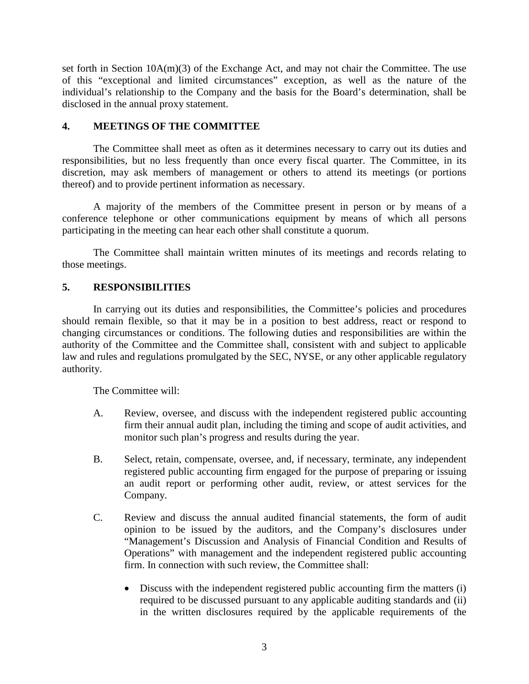set forth in Section 10A(m)(3) of the Exchange Act, and may not chair the Committee. The use of this "exceptional and limited circumstances" exception, as well as the nature of the individual's relationship to the Company and the basis for the Board's determination, shall be disclosed in the annual proxy statement.

## **4. MEETINGS OF THE COMMITTEE**

The Committee shall meet as often as it determines necessary to carry out its duties and responsibilities, but no less frequently than once every fiscal quarter. The Committee, in its discretion, may ask members of management or others to attend its meetings (or portions thereof) and to provide pertinent information as necessary.

A majority of the members of the Committee present in person or by means of a conference telephone or other communications equipment by means of which all persons participating in the meeting can hear each other shall constitute a quorum.

The Committee shall maintain written minutes of its meetings and records relating to those meetings.

## **5. RESPONSIBILITIES**

In carrying out its duties and responsibilities, the Committee's policies and procedures should remain flexible, so that it may be in a position to best address, react or respond to changing circumstances or conditions. The following duties and responsibilities are within the authority of the Committee and the Committee shall, consistent with and subject to applicable law and rules and regulations promulgated by the SEC, NYSE, or any other applicable regulatory authority.

The Committee will:

- A. Review, oversee, and discuss with the independent registered public accounting firm their annual audit plan, including the timing and scope of audit activities, and monitor such plan's progress and results during the year.
- B. Select, retain, compensate, oversee, and, if necessary, terminate, any independent registered public accounting firm engaged for the purpose of preparing or issuing an audit report or performing other audit, review, or attest services for the Company.
- C. Review and discuss the annual audited financial statements, the form of audit opinion to be issued by the auditors, and the Company's disclosures under "Management's Discussion and Analysis of Financial Condition and Results of Operations" with management and the independent registered public accounting firm. In connection with such review, the Committee shall:
	- Discuss with the independent registered public accounting firm the matters (i) required to be discussed pursuant to any applicable auditing standards and (ii) in the written disclosures required by the applicable requirements of the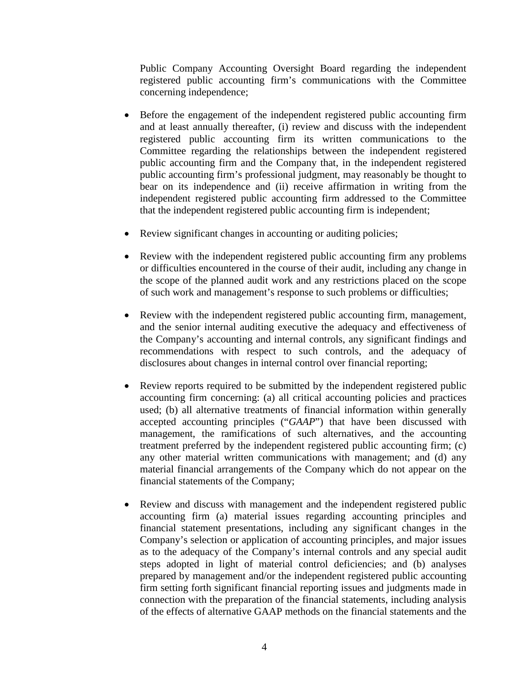Public Company Accounting Oversight Board regarding the independent registered public accounting firm's communications with the Committee concerning independence;

- Before the engagement of the independent registered public accounting firm and at least annually thereafter, (i) review and discuss with the independent registered public accounting firm its written communications to the Committee regarding the relationships between the independent registered public accounting firm and the Company that, in the independent registered public accounting firm's professional judgment, may reasonably be thought to bear on its independence and (ii) receive affirmation in writing from the independent registered public accounting firm addressed to the Committee that the independent registered public accounting firm is independent;
- Review significant changes in accounting or auditing policies;
- Review with the independent registered public accounting firm any problems or difficulties encountered in the course of their audit, including any change in the scope of the planned audit work and any restrictions placed on the scope of such work and management's response to such problems or difficulties;
- Review with the independent registered public accounting firm, management, and the senior internal auditing executive the adequacy and effectiveness of the Company's accounting and internal controls, any significant findings and recommendations with respect to such controls, and the adequacy of disclosures about changes in internal control over financial reporting;
- Review reports required to be submitted by the independent registered public accounting firm concerning: (a) all critical accounting policies and practices used; (b) all alternative treatments of financial information within generally accepted accounting principles ("*GAAP*") that have been discussed with management, the ramifications of such alternatives, and the accounting treatment preferred by the independent registered public accounting firm; (c) any other material written communications with management; and (d) any material financial arrangements of the Company which do not appear on the financial statements of the Company;
- Review and discuss with management and the independent registered public accounting firm (a) material issues regarding accounting principles and financial statement presentations, including any significant changes in the Company's selection or application of accounting principles, and major issues as to the adequacy of the Company's internal controls and any special audit steps adopted in light of material control deficiencies; and (b) analyses prepared by management and/or the independent registered public accounting firm setting forth significant financial reporting issues and judgments made in connection with the preparation of the financial statements, including analysis of the effects of alternative GAAP methods on the financial statements and the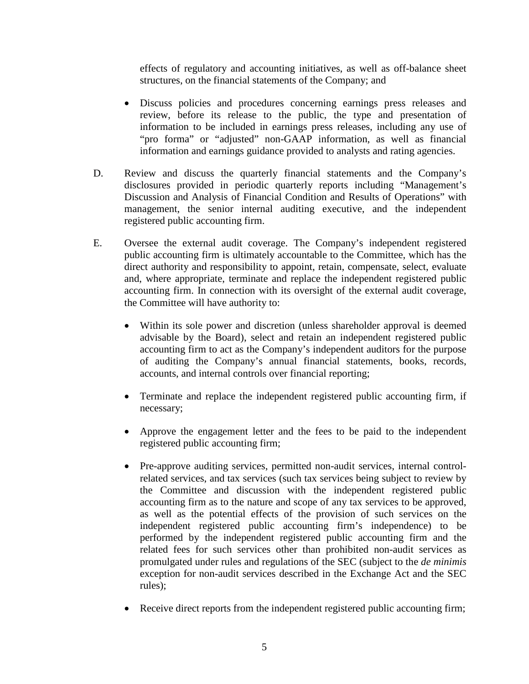effects of regulatory and accounting initiatives, as well as off-balance sheet structures, on the financial statements of the Company; and

- Discuss policies and procedures concerning earnings press releases and review, before its release to the public, the type and presentation of information to be included in earnings press releases, including any use of "pro forma" or "adjusted" non-GAAP information, as well as financial information and earnings guidance provided to analysts and rating agencies.
- D. Review and discuss the quarterly financial statements and the Company's disclosures provided in periodic quarterly reports including "Management's Discussion and Analysis of Financial Condition and Results of Operations" with management, the senior internal auditing executive, and the independent registered public accounting firm.
- E. Oversee the external audit coverage. The Company's independent registered public accounting firm is ultimately accountable to the Committee, which has the direct authority and responsibility to appoint, retain, compensate, select, evaluate and, where appropriate, terminate and replace the independent registered public accounting firm. In connection with its oversight of the external audit coverage, the Committee will have authority to:
	- Within its sole power and discretion (unless shareholder approval is deemed advisable by the Board), select and retain an independent registered public accounting firm to act as the Company's independent auditors for the purpose of auditing the Company's annual financial statements, books, records, accounts, and internal controls over financial reporting;
	- Terminate and replace the independent registered public accounting firm, if necessary;
	- Approve the engagement letter and the fees to be paid to the independent registered public accounting firm;
	- Pre-approve auditing services, permitted non-audit services, internal controlrelated services, and tax services (such tax services being subject to review by the Committee and discussion with the independent registered public accounting firm as to the nature and scope of any tax services to be approved, as well as the potential effects of the provision of such services on the independent registered public accounting firm's independence) to be performed by the independent registered public accounting firm and the related fees for such services other than prohibited non-audit services as promulgated under rules and regulations of the SEC (subject to the *de minimis*  exception for non-audit services described in the Exchange Act and the SEC rules);
	- Receive direct reports from the independent registered public accounting firm;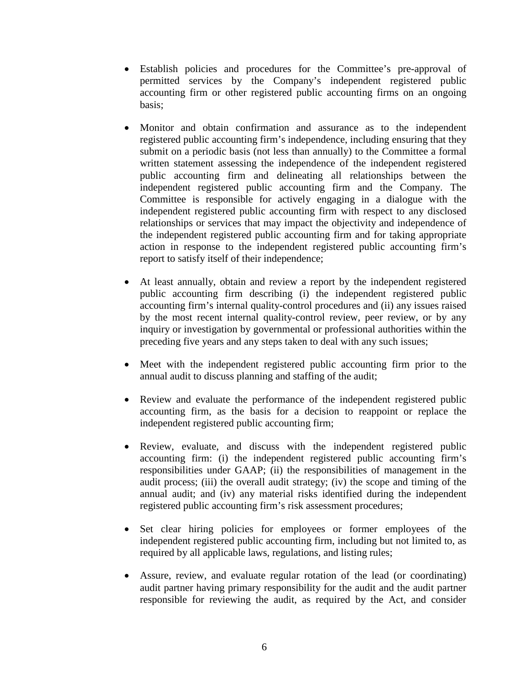- Establish policies and procedures for the Committee's pre-approval of permitted services by the Company's independent registered public accounting firm or other registered public accounting firms on an ongoing basis;
- Monitor and obtain confirmation and assurance as to the independent registered public accounting firm's independence, including ensuring that they submit on a periodic basis (not less than annually) to the Committee a formal written statement assessing the independence of the independent registered public accounting firm and delineating all relationships between the independent registered public accounting firm and the Company. The Committee is responsible for actively engaging in a dialogue with the independent registered public accounting firm with respect to any disclosed relationships or services that may impact the objectivity and independence of the independent registered public accounting firm and for taking appropriate action in response to the independent registered public accounting firm's report to satisfy itself of their independence;
- At least annually, obtain and review a report by the independent registered public accounting firm describing (i) the independent registered public accounting firm's internal quality-control procedures and (ii) any issues raised by the most recent internal quality-control review, peer review, or by any inquiry or investigation by governmental or professional authorities within the preceding five years and any steps taken to deal with any such issues;
- Meet with the independent registered public accounting firm prior to the annual audit to discuss planning and staffing of the audit;
- Review and evaluate the performance of the independent registered public accounting firm, as the basis for a decision to reappoint or replace the independent registered public accounting firm;
- Review, evaluate, and discuss with the independent registered public accounting firm: (i) the independent registered public accounting firm's responsibilities under GAAP; (ii) the responsibilities of management in the audit process; (iii) the overall audit strategy; (iv) the scope and timing of the annual audit; and (iv) any material risks identified during the independent registered public accounting firm's risk assessment procedures;
- Set clear hiring policies for employees or former employees of the independent registered public accounting firm, including but not limited to, as required by all applicable laws, regulations, and listing rules;
- Assure, review, and evaluate regular rotation of the lead (or coordinating) audit partner having primary responsibility for the audit and the audit partner responsible for reviewing the audit, as required by the Act, and consider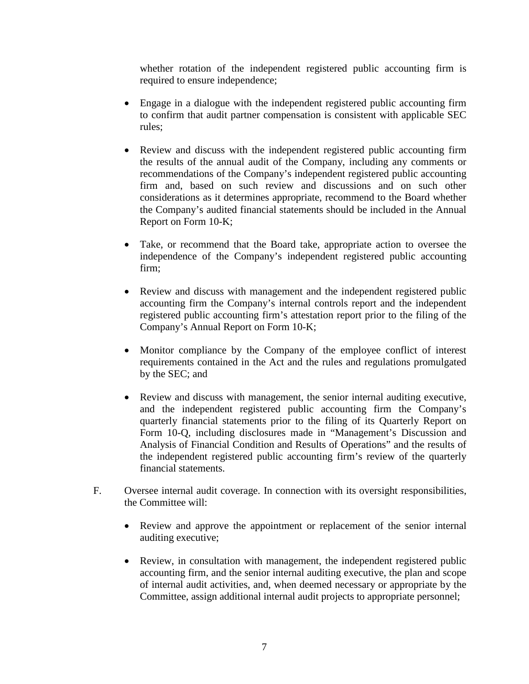whether rotation of the independent registered public accounting firm is required to ensure independence;

- Engage in a dialogue with the independent registered public accounting firm to confirm that audit partner compensation is consistent with applicable SEC rules;
- Review and discuss with the independent registered public accounting firm the results of the annual audit of the Company, including any comments or recommendations of the Company's independent registered public accounting firm and, based on such review and discussions and on such other considerations as it determines appropriate, recommend to the Board whether the Company's audited financial statements should be included in the Annual Report on Form 10-K;
- Take, or recommend that the Board take, appropriate action to oversee the independence of the Company's independent registered public accounting firm;
- Review and discuss with management and the independent registered public accounting firm the Company's internal controls report and the independent registered public accounting firm's attestation report prior to the filing of the Company's Annual Report on Form 10-K;
- Monitor compliance by the Company of the employee conflict of interest requirements contained in the Act and the rules and regulations promulgated by the SEC; and
- Review and discuss with management, the senior internal auditing executive, and the independent registered public accounting firm the Company's quarterly financial statements prior to the filing of its Quarterly Report on Form 10-Q, including disclosures made in "Management's Discussion and Analysis of Financial Condition and Results of Operations" and the results of the independent registered public accounting firm's review of the quarterly financial statements.
- F. Oversee internal audit coverage. In connection with its oversight responsibilities, the Committee will:
	- Review and approve the appointment or replacement of the senior internal auditing executive;
	- Review, in consultation with management, the independent registered public accounting firm, and the senior internal auditing executive, the plan and scope of internal audit activities, and, when deemed necessary or appropriate by the Committee, assign additional internal audit projects to appropriate personnel;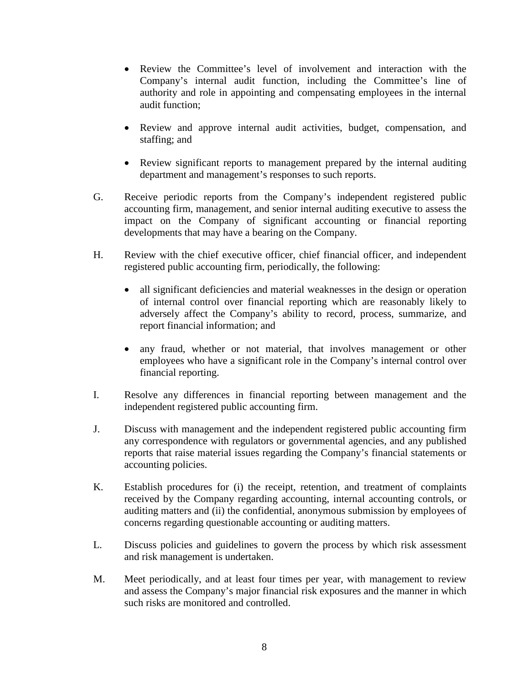- Review the Committee's level of involvement and interaction with the Company's internal audit function, including the Committee's line of authority and role in appointing and compensating employees in the internal audit function;
- Review and approve internal audit activities, budget, compensation, and staffing; and
- Review significant reports to management prepared by the internal auditing department and management's responses to such reports.
- G. Receive periodic reports from the Company's independent registered public accounting firm, management, and senior internal auditing executive to assess the impact on the Company of significant accounting or financial reporting developments that may have a bearing on the Company.
- H. Review with the chief executive officer, chief financial officer, and independent registered public accounting firm, periodically, the following:
	- all significant deficiencies and material weaknesses in the design or operation of internal control over financial reporting which are reasonably likely to adversely affect the Company's ability to record, process, summarize, and report financial information; and
	- any fraud, whether or not material, that involves management or other employees who have a significant role in the Company's internal control over financial reporting.
- I. Resolve any differences in financial reporting between management and the independent registered public accounting firm.
- J. Discuss with management and the independent registered public accounting firm any correspondence with regulators or governmental agencies, and any published reports that raise material issues regarding the Company's financial statements or accounting policies.
- K. Establish procedures for (i) the receipt, retention, and treatment of complaints received by the Company regarding accounting, internal accounting controls, or auditing matters and (ii) the confidential, anonymous submission by employees of concerns regarding questionable accounting or auditing matters.
- L. Discuss policies and guidelines to govern the process by which risk assessment and risk management is undertaken.
- M. Meet periodically, and at least four times per year, with management to review and assess the Company's major financial risk exposures and the manner in which such risks are monitored and controlled.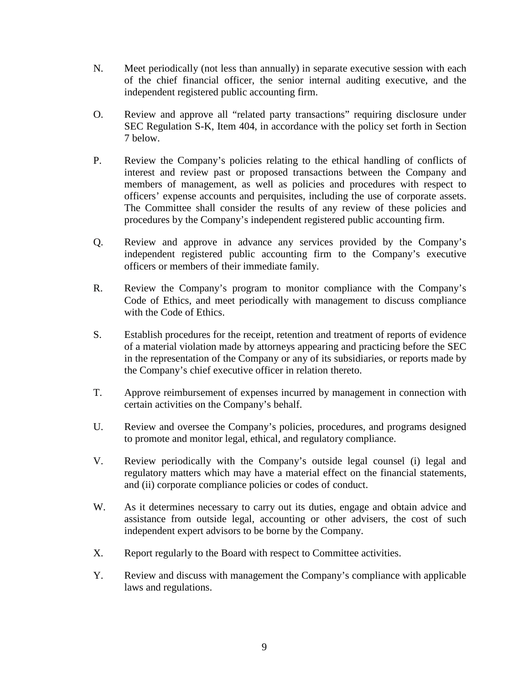- N. Meet periodically (not less than annually) in separate executive session with each of the chief financial officer, the senior internal auditing executive, and the independent registered public accounting firm.
- O. Review and approve all "related party transactions" requiring disclosure under SEC Regulation S-K, Item 404, in accordance with the policy set forth in Section 7 below.
- P. Review the Company's policies relating to the ethical handling of conflicts of interest and review past or proposed transactions between the Company and members of management, as well as policies and procedures with respect to officers' expense accounts and perquisites, including the use of corporate assets. The Committee shall consider the results of any review of these policies and procedures by the Company's independent registered public accounting firm.
- Q. Review and approve in advance any services provided by the Company's independent registered public accounting firm to the Company's executive officers or members of their immediate family.
- R. Review the Company's program to monitor compliance with the Company's Code of Ethics, and meet periodically with management to discuss compliance with the Code of Ethics.
- S. Establish procedures for the receipt, retention and treatment of reports of evidence of a material violation made by attorneys appearing and practicing before the SEC in the representation of the Company or any of its subsidiaries, or reports made by the Company's chief executive officer in relation thereto.
- T. Approve reimbursement of expenses incurred by management in connection with certain activities on the Company's behalf.
- U. Review and oversee the Company's policies, procedures, and programs designed to promote and monitor legal, ethical, and regulatory compliance.
- V. Review periodically with the Company's outside legal counsel (i) legal and regulatory matters which may have a material effect on the financial statements, and (ii) corporate compliance policies or codes of conduct.
- W. As it determines necessary to carry out its duties, engage and obtain advice and assistance from outside legal, accounting or other advisers, the cost of such independent expert advisors to be borne by the Company.
- X. Report regularly to the Board with respect to Committee activities.
- Y. Review and discuss with management the Company's compliance with applicable laws and regulations.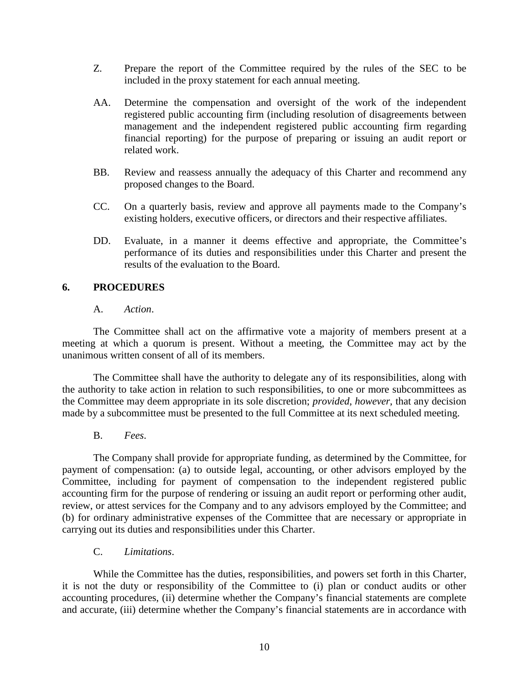- Z. Prepare the report of the Committee required by the rules of the SEC to be included in the proxy statement for each annual meeting.
- AA. Determine the compensation and oversight of the work of the independent registered public accounting firm (including resolution of disagreements between management and the independent registered public accounting firm regarding financial reporting) for the purpose of preparing or issuing an audit report or related work.
- BB. Review and reassess annually the adequacy of this Charter and recommend any proposed changes to the Board.
- CC. On a quarterly basis, review and approve all payments made to the Company's existing holders, executive officers, or directors and their respective affiliates.
- DD. Evaluate, in a manner it deems effective and appropriate, the Committee's performance of its duties and responsibilities under this Charter and present the results of the evaluation to the Board.

## **6. PROCEDURES**

## A. *Action*.

The Committee shall act on the affirmative vote a majority of members present at a meeting at which a quorum is present. Without a meeting, the Committee may act by the unanimous written consent of all of its members.

The Committee shall have the authority to delegate any of its responsibilities, along with the authority to take action in relation to such responsibilities, to one or more subcommittees as the Committee may deem appropriate in its sole discretion; *provided*, *however*, that any decision made by a subcommittee must be presented to the full Committee at its next scheduled meeting.

## B. *Fees*.

The Company shall provide for appropriate funding, as determined by the Committee, for payment of compensation: (a) to outside legal, accounting, or other advisors employed by the Committee, including for payment of compensation to the independent registered public accounting firm for the purpose of rendering or issuing an audit report or performing other audit, review, or attest services for the Company and to any advisors employed by the Committee; and (b) for ordinary administrative expenses of the Committee that are necessary or appropriate in carrying out its duties and responsibilities under this Charter.

C. *Limitations*.

While the Committee has the duties, responsibilities, and powers set forth in this Charter, it is not the duty or responsibility of the Committee to (i) plan or conduct audits or other accounting procedures, (ii) determine whether the Company's financial statements are complete and accurate, (iii) determine whether the Company's financial statements are in accordance with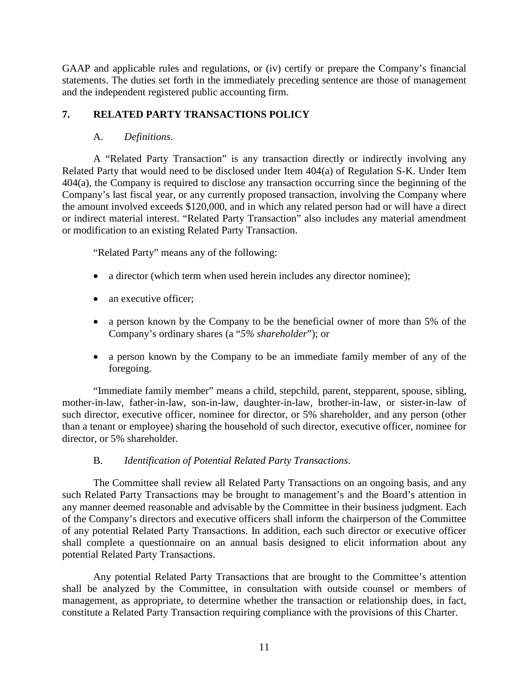GAAP and applicable rules and regulations, or (iv) certify or prepare the Company's financial statements. The duties set forth in the immediately preceding sentence are those of management and the independent registered public accounting firm.

# **7. RELATED PARTY TRANSACTIONS POLICY**

# A. *Definitions*.

A "Related Party Transaction" is any transaction directly or indirectly involving any Related Party that would need to be disclosed under Item 404(a) of Regulation S-K. Under Item 404(a), the Company is required to disclose any transaction occurring since the beginning of the Company's last fiscal year, or any currently proposed transaction, involving the Company where the amount involved exceeds \$120,000, and in which any related person had or will have a direct or indirect material interest. "Related Party Transaction" also includes any material amendment or modification to an existing Related Party Transaction.

"Related Party" means any of the following:

- a director (which term when used herein includes any director nominee);
- an executive officer:
- a person known by the Company to be the beneficial owner of more than 5% of the Company's ordinary shares (a "*5% shareholder*"); or
- a person known by the Company to be an immediate family member of any of the foregoing.

"Immediate family member" means a child, stepchild, parent, stepparent, spouse, sibling, mother-in-law, father-in-law, son-in-law, daughter-in-law, brother-in-law, or sister-in-law of such director, executive officer, nominee for director, or 5% shareholder, and any person (other than a tenant or employee) sharing the household of such director, executive officer, nominee for director, or 5% shareholder.

## B. *Identification of Potential Related Party Transactions*.

The Committee shall review all Related Party Transactions on an ongoing basis, and any such Related Party Transactions may be brought to management's and the Board's attention in any manner deemed reasonable and advisable by the Committee in their business judgment. Each of the Company's directors and executive officers shall inform the chairperson of the Committee of any potential Related Party Transactions. In addition, each such director or executive officer shall complete a questionnaire on an annual basis designed to elicit information about any potential Related Party Transactions.

Any potential Related Party Transactions that are brought to the Committee's attention shall be analyzed by the Committee, in consultation with outside counsel or members of management, as appropriate, to determine whether the transaction or relationship does, in fact, constitute a Related Party Transaction requiring compliance with the provisions of this Charter.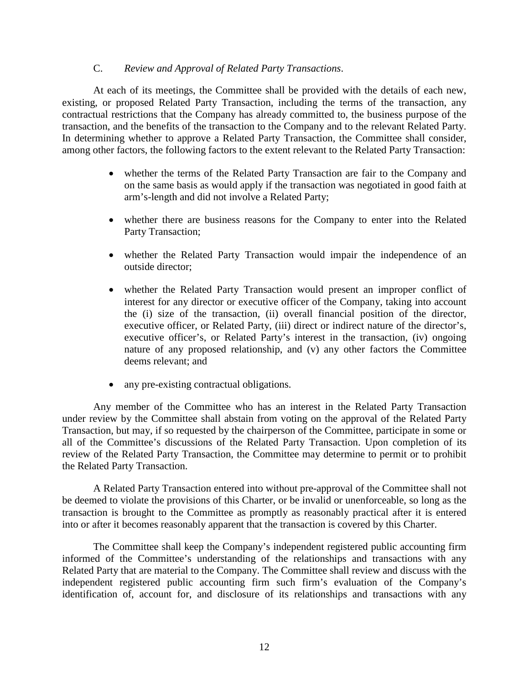#### C. *Review and Approval of Related Party Transactions*.

At each of its meetings, the Committee shall be provided with the details of each new, existing, or proposed Related Party Transaction, including the terms of the transaction, any contractual restrictions that the Company has already committed to, the business purpose of the transaction, and the benefits of the transaction to the Company and to the relevant Related Party. In determining whether to approve a Related Party Transaction, the Committee shall consider, among other factors, the following factors to the extent relevant to the Related Party Transaction:

- whether the terms of the Related Party Transaction are fair to the Company and on the same basis as would apply if the transaction was negotiated in good faith at arm's-length and did not involve a Related Party;
- whether there are business reasons for the Company to enter into the Related Party Transaction;
- whether the Related Party Transaction would impair the independence of an outside director;
- whether the Related Party Transaction would present an improper conflict of interest for any director or executive officer of the Company, taking into account the (i) size of the transaction, (ii) overall financial position of the director, executive officer, or Related Party, (iii) direct or indirect nature of the director's, executive officer's, or Related Party's interest in the transaction, (iv) ongoing nature of any proposed relationship, and (v) any other factors the Committee deems relevant; and
- any pre-existing contractual obligations.

Any member of the Committee who has an interest in the Related Party Transaction under review by the Committee shall abstain from voting on the approval of the Related Party Transaction, but may, if so requested by the chairperson of the Committee, participate in some or all of the Committee's discussions of the Related Party Transaction. Upon completion of its review of the Related Party Transaction, the Committee may determine to permit or to prohibit the Related Party Transaction.

A Related Party Transaction entered into without pre-approval of the Committee shall not be deemed to violate the provisions of this Charter, or be invalid or unenforceable, so long as the transaction is brought to the Committee as promptly as reasonably practical after it is entered into or after it becomes reasonably apparent that the transaction is covered by this Charter.

The Committee shall keep the Company's independent registered public accounting firm informed of the Committee's understanding of the relationships and transactions with any Related Party that are material to the Company. The Committee shall review and discuss with the independent registered public accounting firm such firm's evaluation of the Company's identification of, account for, and disclosure of its relationships and transactions with any